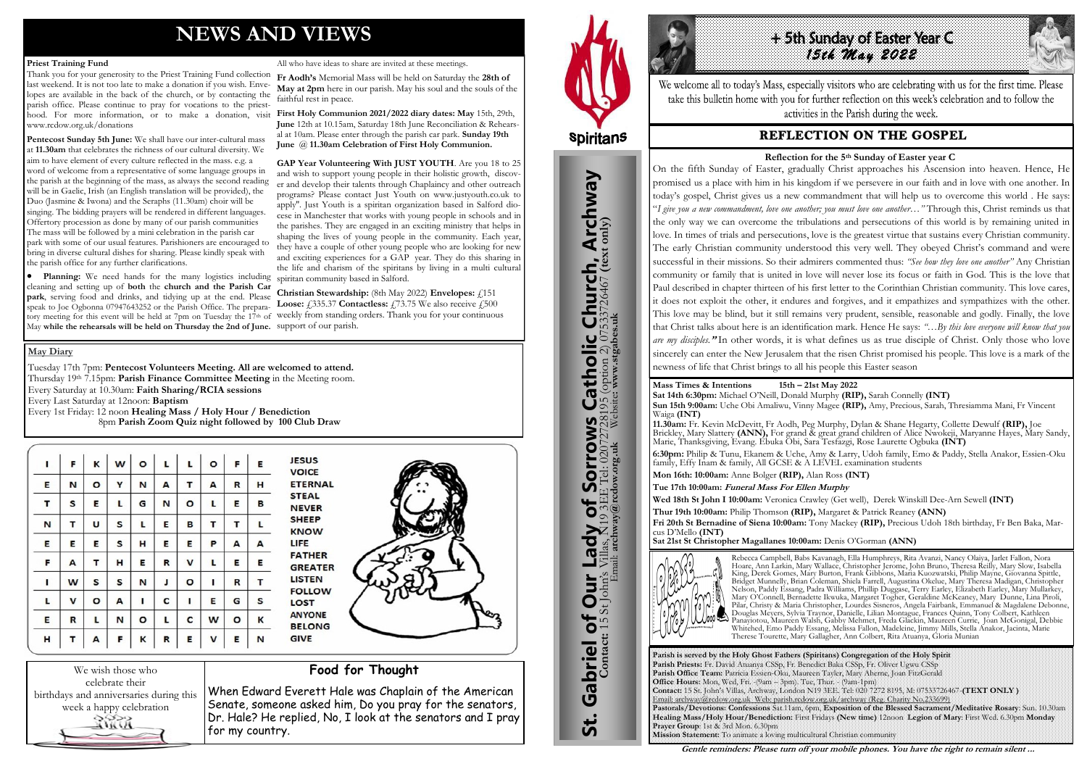# **NEWS AND VIEWS**

#### **Priest Training Fund**

Thank you for your generosity to the Priest Training Fund collection last weekend. It is not too late to make a donation if you wish. Envelopes are available in the back of the church, or by contacting the parish office. Please continue to pray for vocations to the priesthood. For more information, or to make a donation, visit **First Holy Communion 2021/2022 diary dates: May** 15th, 29th, www.rcdow.org.uk/donations

**Pentecost Sunday 5th June:** We shall have our inter-cultural mass at **11.30am** that celebrates the richness of our cultural diversity. We aim to have element of every culture reflected in the mass. e.g. a word of welcome from a representative of some language groups in the parish at the beginning of the mass, as always the second reading will be in Gaelic, Irish (an English translation will be provided), the Duo (Jasmine & Iwona) and the Seraphs (11.30am) choir will be singing. The bidding prayers will be rendered in different languages. Offertory procession as done by many of our parish communities The mass will be followed by a mini celebration in the parish car park with some of our usual features. Parishioners are encouraged to bring in diverse cultural dishes for sharing. Please kindly speak with the parish office for any further clarifications.

> **Christian Stewardship:** (8th May 2022) **Envelopes:** £151 **Loose: £335.37 Contactless: £73.75** We also receive **£500**

We wish those who celebrate their birthdays and anniversaries during this week a happy celebration Rill

All who have ideas to share are invited at these meetings.

**Fr Aodh's** Memorial Mass will be held on Saturday the **28th of May at 2pm** here in our parish. May his soul and the souls of the faithful rest in peace.

**June** 12th at 10.15am, Saturday 18th June Reconciliation & Rehearsal at 10am. Please enter through the parish car park. **Sunday 19th June** @ **11.30am Celebration of First Holy Communion.**

 **Planning:** We need hands for the many logistics including cleaning and setting up of **both** the **church and the Parish Car park**, serving food and drinks, and tidying up at the end. Please speak to Joe Ogbonna 07947643252 or the Parish Office. The preparatory meeting for this event will be held at 7pm on Tuesday the 17th of weekly from standing orders. Thank you for your continuous May **while the rehearsals will be held on Thursday the 2nd of June.** support of our parish.

**GAP Year Volunteering With JUST YOUTH**. Are you 18 to 25 and wish to support young people in their holistic growth, discover and develop their talents through Chaplaincy and other outreach programs? Please contact Just Youth on www.justyouth.co.uk to apply''. Just Youth is a spiritan organization based in Salford diocese in Manchester that works with young people in schools and in the parishes. They are engaged in an exciting ministry that helps in shaping the lives of young people in the community. Each year, they have a couple of other young people who are looking for new and exciting experiences for a GAP year. They do this sharing in the life and charism of the spiritans by living in a multi cultural spiritan community based in Salford.

# **Food for Thought**

When Edward Everett Hale was Chaplain of the American Senate, someone asked him, Do you pray for the senators, Dr. Hale? He replied, No, I look at the senators and I pray for my country.



St. Gabriel of Our Lady of Sorrows Catholic Church, Archway

Sorrows

bf

Lady

**Our** 

Gabriel of Our

<u>უ:</u>

**IS Catholic Church, Archway**<br>28195 (option 2) 07533726467 (text only)

#### **May Diary**

Tuesday 17th 7pm: **Pentecost Volunteers Meeting. All are welcomed to attend.** Thursday 19<sup>th</sup> 7.15pm: **Parish Finance Committee Meeting** in the Meeting room. Every Saturday at 10.30am: **Faith Sharing/RCIA sessions**  Every Last Saturday at 12noon: **Baptism**  Every 1st Friday: 12 noon **Healing Mass / Holy Hour / Benediction** 8pm **Parish Zoom Quiz night followed by 100 Club Draw**

| T, | F | Κ       | W | $\circ$ | L | L       | $\mathbf{o}$ | F       | Ε |
|----|---|---------|---|---------|---|---------|--------------|---------|---|
| E  | N | O       | Υ | N       | A | т       | А            | R       | н |
| T  | S | E       | L | G       | N | O       | L            | E       | в |
| N  | т | U       | S | L       | E | В       | Т            | т       | L |
| E  | E | E       | S | н       | E | E       | P            | А       | А |
| F  | А | Τ       | н | Е       | R | V       | L            | Ε       | Ε |
| ı  | W | S       | S | N       | J | $\circ$ | ı            | R       | т |
| L  | V | $\circ$ | А | I       | С | ı       | E            | G       | S |
| E  | R | г       | N | $\circ$ | г | C       | W            | $\circ$ | K |
| H  | т | Α       | F | Κ       | R | E       | V            | E       | N |







We welcome all to today's Mass, especially visitors who are celebrating with us for the first time. Please take this bulletin home with you for further reflection on this week's celebration and to follow the activities in the Parish during the week.

# **REFLECTION ON THE GOSPEL**

**Parish is served by the Holy Ghost Fathers (Spiritans) Congregation of the Holy Spirit Parish Priests:** Fr. David Atuanya CSSp, Fr. Benedict Baka CSSp, Fr. Oliver Ugwu CSSp **Parish Office Team:** Patricia Essien-Oku, Maureen Tayler, Mary Aherne, Joan FitzGerald **Office Hours:** Mon, Wed, Fri. -(9am – 3pm). Tue, Thur. - (9am-1pm) Email: archway@rcdow.org.uk Web: parish.rcdow.org.uk/archway (Reg. Charity No.233699) **Prayer Group**: 1st & 3rd Mon. 6.30pm **Mission Statement:** To animate a loving multicultural Christian community



**Contact:** 15 St John's Villas, N19 3EE Tel: 02072728195 (option 2) 07533726467 **(text only)** Email: **archway@rcdow.org.uk** Website**: www.stgabes.uk**

i's Villas, N19 3EE Tel: 0207<br>Email: archway@redow.org.uk

 $\overline{C}$ 

**Mass Times & Intentions 15th – 21st May 2022 Sat 14th 6:30pm:** Michael O'Neill, Donald Murphy **(RIP),** Sarah Connelly **(INT) Sun 15th 9:00am:** Uche Obi Amaliwu, Vinny Magee **(RIP),** Amy, Precious, Sarah, Thresiamma Mani, Fr Vincent Waiga **(INT)**

**11.30am:** Fr. Kevin McDevitt, Fr Aodh, Peg Murphy, Dylan & Shane Hegarty, Collette Dewulf **(RIP),** Joe Brickley, Mary Slattery **(ANN),** For grand & great grand children of Alice Nwokeji, Maryanne Hayes, Mary Sandy, Marie, Thanksgiving, Evang. Ebuka Obi, Sara Tesfazgi, Rose Laurette Ogbuka **(INT)**

**6:30pm:** Philip & Tunu, Ekanem & Uche, Amy & Larry, Udoh family, Emo & Paddy, Stella Anakor, Essien-Oku family, Effy Inam & family, All GCSE & A LEVEL examination students

**Mon 16th: 10:00am:** Anne Bolger **(RIP),** Alan Ross **(INT) Tue 17th 10:00am: Funeral Mass For Ellen Murphy** 

**Wed 18th St John I 10:00am:** Veronica Crawley (Get well), Derek Winskill Dee-Arn Sewell **(INT) Thur 19th 10:00am:** Philip Thomson **(RIP),** Margaret & Patrick Reaney **(ANN)** 

**Fri 20th St Bernadine of Siena 10:00am:** Tony Mackey **(RIP),** Precious Udoh 18th birthday, Fr Ben Baka, Mar-

cus D'Mello **(INT)** 

**Sat 21st St Christopher Magallanes 10:00am:** Denis O'Gorman **(ANN)** 



Rebecca Campbell, Babs Kavanagh, Ella Humphreys, Rita Avanzi, Nancy Olaiya, Jarlet Fallon, Nora Hoare, Ann Larkin, Mary Wallace, Christopher Jerome, John Bruno, Theresa Reilly, Mary Slow, Isabella King, Derek Gomes, Mary Burton, Frank Gibbons, Maria Kuozwatski, Philip Mayne, Giovanna Spittle, Bridget Munnelly, Brian Coleman, Shiela Farrell, Augustina Okelue, Mary Theresa Madigan, Christopher Nelson, Paddy Essang, Padra Williams, Phillip Duggase, Terry Earley, Elizabeth Earley, Mary Mullarkey, Mary O'Connell, Bernadette Ikwuka, Margaret Togher, Geraldine McKeaney, Mary Dunne, Lina Piroli, Pilar, Christy & Maria Christopher, Lourdes Sisneros, Angela Fairbank, Emmanuel & Magdalene Debonne, Douglas Meyers, Sylvia Traynor, Danielle, Lilian Montague, Frances Quinn, Tony Colbert, Kathleen Panayiotou, Maureen Walsh, Gabby Mehmet, Freda Glackin, Maureen Currie, Joan McGonigal, Debbie Whitehed, Emo Paddy Essang, Melissa Fallon, Madeleine, Jimmy Mills, Stella Anakor, Jacinta, Marie Therese Tourette, Mary Gallagher, Ann Colbert, Rita Atuanya, Gloria Munian

**Gentle reminders: Please turn off your mobile phones. You have the right to remain silent ...** 

### **Reflection for the 5th Sunday of Easter year C**

On the fifth Sunday of Easter, gradually Christ approaches his Ascension into heaven. Hence, He promised us a place with him in his kingdom if we persevere in our faith and in love with one another. In today's gospel, Christ gives us a new commandment that will help us to overcome this world . He says: "*I give you a new commandment, love one another; you must love one another…"* Through this, Christ reminds us that the only way we can overcome the tribulations and persecutions of this world is by remaining united in love. In times of trials and persecutions, love is the greatest virtue that sustains every Christian community. The early Christian community understood this very well. They obeyed Christ's command and were successful in their missions. So their admirers commented thus: *"See how they love one another"* Any Christian community or family that is united in love will never lose its focus or faith in God. This is the love that Paul described in chapter thirteen of his first letter to the Corinthian Christian community. This love cares, it does not exploit the other, it endures and forgives, and it empathizes and sympathizes with the other. This love may be blind, but it still remains very prudent, sensible, reasonable and godly. Finally, the love that Christ talks about here is an identification mark. Hence He says: *"…By this love everyone will know that you are my disciples.***"** In other words, it is what defines us as true disciple of Christ. Only those who love sincerely can enter the New Jerusalem that the risen Christ promised his people. This love is a mark of the newness of life that Christ brings to all his people this Easter season